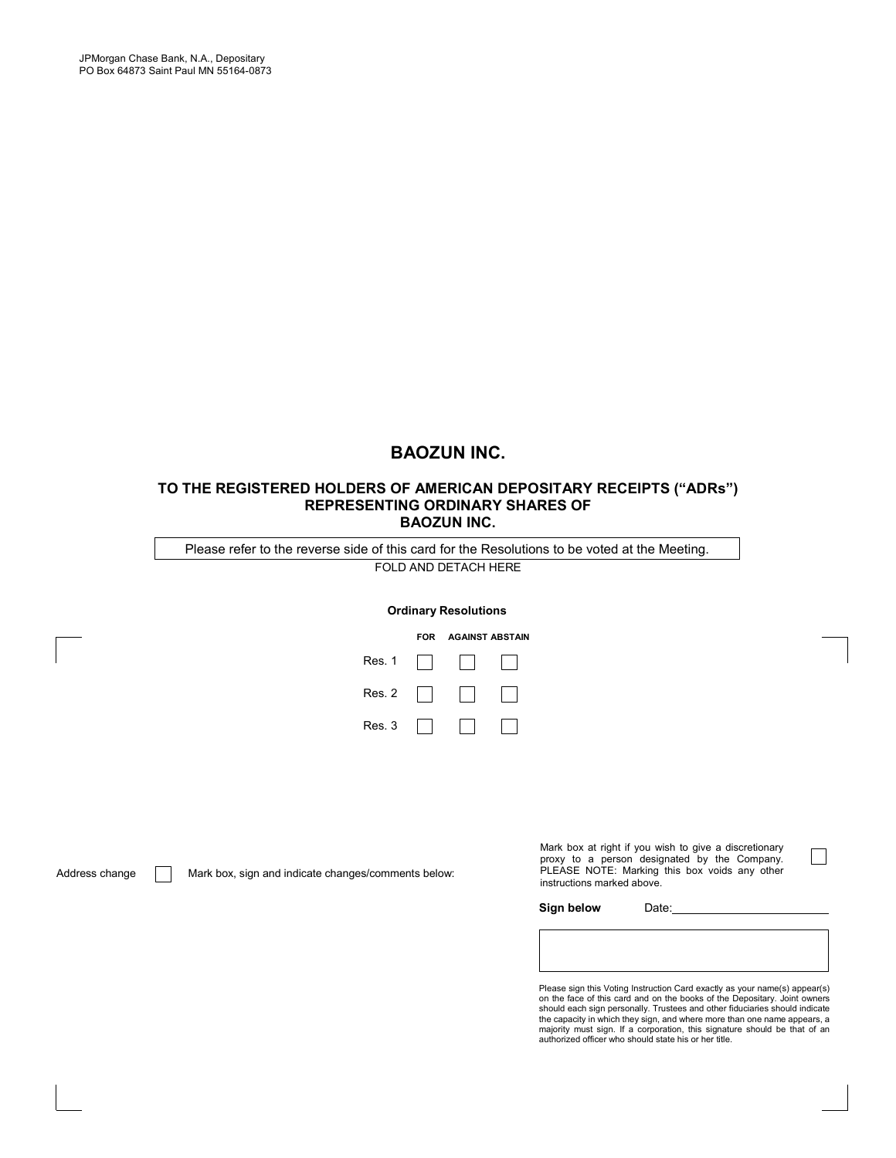# **BAOZUN INC.**

#### **TO THE REGISTERED HOLDERS OF AMERICAN DEPOSITARY RECEIPTS ("ADRs") REPRESENTING ORDINARY SHARES OF BAOZUN INC.**

FOLD AND DETACH HERE Please refer to the reverse side of this card for the Resolutions to be voted at the Meeting.

#### **Ordinary Resolutions**

|        | FOR | <b>AGAINST ABSTAIN</b> |  |
|--------|-----|------------------------|--|
| Res. 1 |     |                        |  |
| Res. 2 |     |                        |  |
| Res. 3 |     |                        |  |

Address change Mark box, sign and indicate changes/comments below:

Mark box at right if you wish to give a discretionary proxy to a person designated by the Company. PLEASE NOTE: Marking this box voids any other instructions marked above.

 $\blacksquare$ 

Sign below Date:

Please sign this Voting Instruction Card exactly as your name(s) appear(s) on the face of this card and on the books of the Depositary. Joint owners<br>should each sign personally. Trustees and other fiduciaries should indicate<br>the capacity in which they sign, and where more than one name appears, a majority must sign. If a corporation, this signature should be that of an authorized officer who should state his or her title.